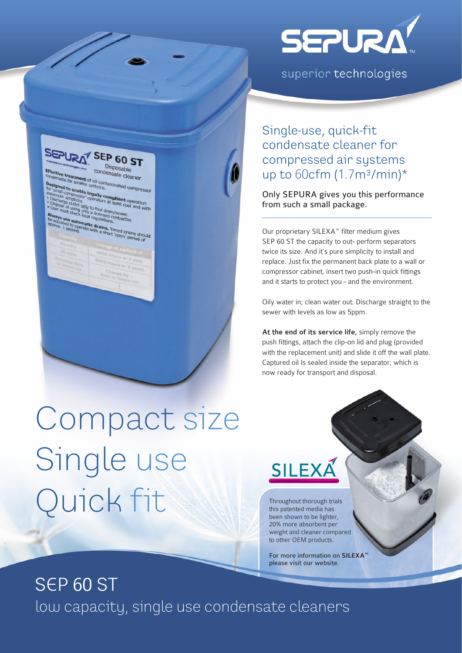

superior technologies



Single-use, quick-fit condensate cleaner for compressed air systems up to  $60$ cfm  $(1.7m<sup>3</sup>/min)<sup>*</sup>$ 

Only SEPURA gives you this performance from such a small package.

Our proprietary SILEXA™ filter medium gives SEP 60 ST the capacity to out- perform separators twice its size. And it's pure simplicity to install and replace. Just fix the permanent back plate to a wall or compressor cabinet, insert two push-in quick fittings and it starts to protect you - and the environment.

Oily water in; clean water out. Discharge straight to the sewer with levels as low as 5ppm.

At the end of its service life, simply remove the push fittings, attach the clip-on lid and plug (provided with the replacement unit) and slide it off the wall plate. Captured oil Is sealed inside the separator, which is now ready for transport and disposal.

# Compact size Single use Quick fit



Throughout thorough trials this patented media has been shown to be lighter, 20% more absorbent per weight and cleaner compared to other OEM products.

For more information on SILEXA please visit our website.

## SEP 60 ST low capacity, single use condensate cleaners